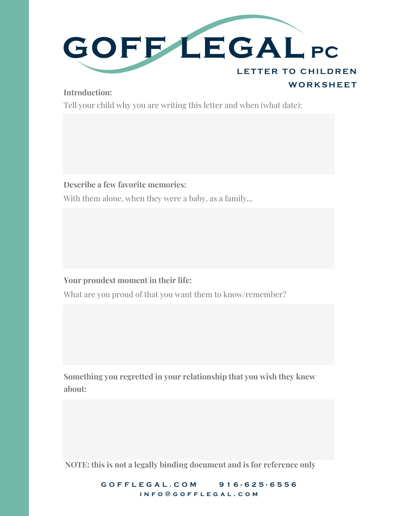

### **Introduction:**

Tell your child why you are writing this letter and when (what date):

### **Describe a few favorite memories:**

With them alone, when they were a baby, as a family...

**Your proudest moment in their life:**

What are you proud of that you want them to know/remember?

**Something you regretted in your relationship that you wish they knew about:**

**NOTE: this is not a legally binding document and is for reference only**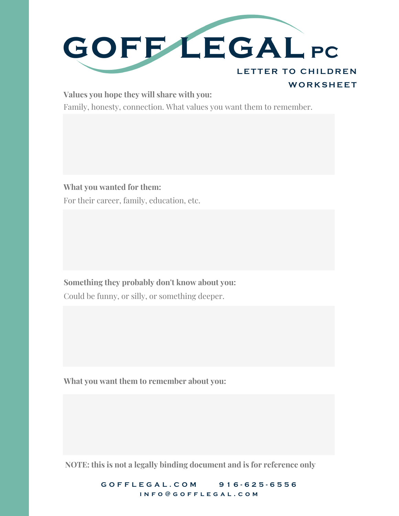

#### **Values you hope they will share with you:**

Family, honesty, connection. What values you want them to remember.

**What you wanted for them:** For their career, family, education, etc.

Could be funny, or silly, or something deeper. **Something they probably don't know about you:**

**What you want them to remember about you:**

**NOTE: this is not a legally binding document and is for reference only**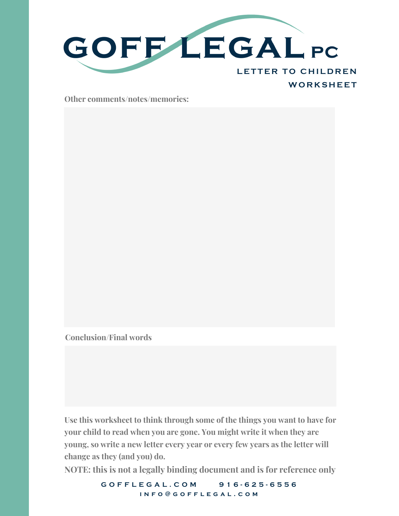

**Other comments/notes/memories:**

**Conclusion/Final words**

**Use this worksheet to think through some of the things you want to have for your child to read when you are gone. You might write it when they are young, so write a new letter every year or every few years as the letter will change as they (and you) do.**

**NOTE: this is not a legally binding document and is for reference only**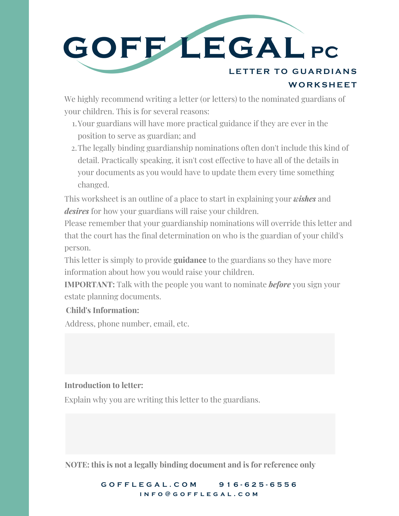

We highly recommend writing a letter (or letters) to the nominated guardians of your children. This is for several reasons:

- Your guardians will have more practical guidance if they are ever in the 1. position to serve as guardian; and
- The legally binding guardianship nominations often don't include this kind of 2. detail. Practically speaking, it isn't cost effective to have all of the details in your documents as you would have to update them every time something changed.

This worksheet is an outline of a place to start in explaining your *wishes* and *desires* for how your guardians will raise your children.

Please remember that your guardianship nominations will override this letter and that the court has the final determination on who is the guardian of your child's person.

This letter is simply to provide **guidance** to the guardians so they have more information about how you would raise your children.

**IMPORTANT:** Talk with the people you want to nominate *before* you sign your estate planning documents.

# **Child's Information:**

Address, phone number, email, etc.

# **Introduction to letter:**

Explain why you are writing this letter to the guardians.

**NOTE: this is not a legally binding document and is for reference only**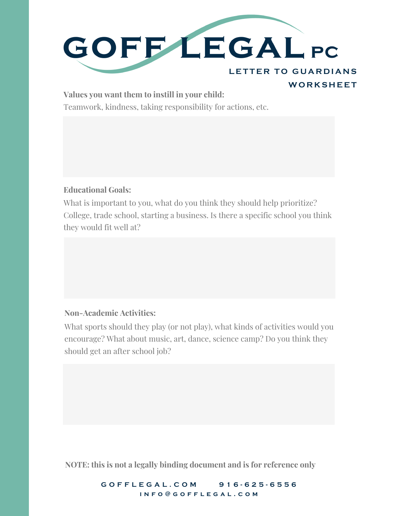

#### **Values you want them to instill in your child:**

Teamwork, kindness, taking responsibility for actions, etc.

### **Educational Goals:**

What is important to you, what do you think they should help prioritize? College, trade school, starting a business. Is there a specific school you think they would fit well at?

# **Non-Academic Activities:**

What sports should they play (or not play), what kinds of activities would you encourage? What about music, art, dance, science camp? Do you think they should get an after school job?

**NOTE: this is not a legally binding document and is for reference only**